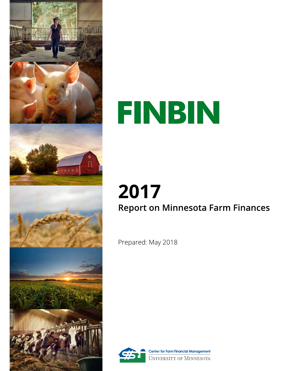

# FINBIN

## 2017 **Report on Minnesota Farm Finances**

Prepared: May 2018



**Center for Farm Financial Management** UNIVERSITY OF MINNESOTA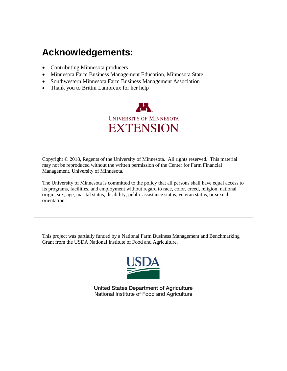### **Acknowledgements:**

- Contributing Minnesota producers
- Minnesota Farm Business Management Education, Minnesota State
- Southwestern Minnesota Farm Business Management Association
- Thank you to Brittni Lamoreux for her help



Copyright © 2018, Regents of the University of Minnesota. All rights reserved. This material may not be reproduced without the written permission of the Center for Farm Financial Management, University of Minnesota.

The University of Minnesota is committed to the policy that all persons shall have equal access to its programs, facilities, and employment without regard to race, color, creed, religion, national origin, sex, age, marital status, disability, public assistance status, veteran status, or sexual orientation.

This project was partially funded by a National Farm Business Management and Benchmarking Grant from the USDA National Institute of Food and Agriculture.



United States Department of Agriculture National Institute of Food and Agriculture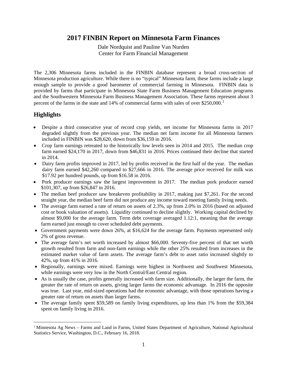#### **2017 FINBIN Report on Minnesota Farm Finances**

Dale Nordquist and Pauline Van Nurden Center for Farm Financial Management

The 2,306 Minnesota farms included in the FINBIN database represent a broad cross-section of Minnesota production agriculture. While there is no "typical" Minnesota farm, these farms include a large enough sample to provide a good barometer of commercial farming in Minnesota. FINBIN data is provided by farms that participate in Minnesota State Farm Business Management Education programs and the Southwestern Minnesota Farm Business Management Association. These farms represent about 3 percent of the farms in the state and [1](#page-2-0)4% of commercial farms with sales of over  $$250,000$ .<sup>1</sup>

#### **Highlights**

- Despite a third consecutive year of record crop yields, net income for Minnesota farms in 2017 degraded slightly from the previous year. The median net farm income for all Minnesota farmers included in FINBIN was \$28,620, down from \$36,159 in 2016.
- Crop farm earnings retreated to the historically low levels seen in 2014 and 2015. The median crop farm earned \$24,170 in 2017, down from \$46,831 in 2016. Prices continued their decline that started in 2014.
- Dairy farm profits improved in 2017, led by profits received in the first half of the year. The median dairy farm earned \$42,260 compared to \$27,666 in 2016. The average price received for milk was \$17.92 per hundred pounds, up from \$16.58 in 2016.
- Pork producer earnings saw the largest improvement in 2017. The median pork producer earned \$101,307, up from \$26,847 in 2016.
- The median beef producer saw breakeven profitability in 2017, making just \$7,261. For the second straight year, the median beef farm did not produce any income toward meeting family living needs.
- The average farm earned a rate of return on assets of 2.3%, up from 2.0% in 2016 (based on adjusted cost or book valuation of assets). Liquidity continued to decline slightly. Working capital declined by almost \$9,000 for the average farm. Term debt coverage averaged 1.12:1, meaning that the average farm earned just enough to cover scheduled debt payments.
- Government payments were down 26%, at \$16,624 for the average farm. Payments represented only 2% of gross revenue.
- The average farm's net worth increased by almost \$66,000. Seventy-five percent of that net worth growth resulted from farm and non-farm earnings while the other 25% resulted from increases in the estimated market value of farm assets. The average farm's debt to asset ratio increased slightly to 42%, up from 41% in 2016.
- Regionally, earnings were mixed. Earnings were highest in Northwest and Southwest Minnesota, while earnings were very low in the North Central/East Central region.
- As is usually the case, profits generally increased with farm size. Additionally, the larger the farm, the greater the rate of return on assets, giving larger farms the economic advantage. In 2016 the opposite was true. Last year, mid-sized operations had the economic advantage, with those operations having a greater rate of return on assets than larger farms.
- The average family spent \$59,589 on family living expenditures, up less than 1% from the \$59,384 spent on family living in 2016.

<span id="page-2-0"></span><sup>&</sup>lt;sup>1</sup> Minnesota Ag News – Farms and Land in Farms, United States Department of Agriculture, National Agricultural Statistics Service, Washington, D.C., February 16, 2018.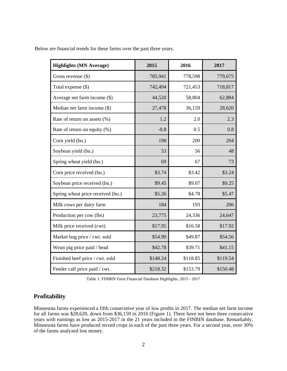| Below are financial trends for these farms over the past three years. |  |  |  |  |  |  |  |  |  |  |  |  |
|-----------------------------------------------------------------------|--|--|--|--|--|--|--|--|--|--|--|--|
|-----------------------------------------------------------------------|--|--|--|--|--|--|--|--|--|--|--|--|

| <b>Highlights (MN Average)</b>    | 2015     | 2016     | 2017     |
|-----------------------------------|----------|----------|----------|
| Gross revenue $(\$)$              | 785,941  | 778,598  | 779,675  |
| Total expense (\$)                | 742,494  | 721,453  | 718,817  |
| Average net farm income (\$)      | 44,520   | 58,804   | 62,884   |
| Median net farm income (\$)       | 27,478   | 36,159   | 28,620   |
| Rate of return on assets (%)      | 1.2      | 2.0      | 2.3      |
| Rate of return on equity (%)      | $-0.8$   | 0.5      | 0.8      |
| Corn yield (bu.)                  | 198      | 200      | 204      |
| Soybean yield (bu.)               | 53       | 56       | 48       |
| Spring wheat yield (bu.)          | 69       | 67       | 73       |
| Corn price received (bu.)         | \$3.74   | \$3.42   | \$3.24   |
| Soybean price received (bu.)      | \$9.45   | \$9.07   | \$9.25   |
| Spring wheat price received (bu.) | \$5.26   | \$4.78   | \$5.47   |
| Milk cows per dairy farm          | 184      | 193      | 206      |
| Production per cow (lbs)          | 23,775   | 24,336   | 24,647   |
| Milk price received (cwt)         | \$17.95  | \$16.58  | \$17.92  |
| Market hog price / cwt. sold      | \$54.90  | \$49.87  | \$54.56  |
| Wean pig price paid / head        | \$42.78  | \$39.71  | \$41.15  |
| Finished beef price / cwt. sold   | \$148.24 | \$118.85 | \$119.54 |
| Feeder calf price paid / cwt.     | \$218.32 | \$153.79 | \$150.48 |

Table 1: FINBIN Farm Financial Database Highlights, 2015 - 2017

#### **Profitability**

Minnesota farms experienced a fifth consecutive year of low profits in 2017. The median net farm income for all farms was \$28,620, down from \$36,159 in 2016 (Figure 1). There have not been three consecutive years with earnings as low as 2015-2017 in the 21 years included in the FINBIN database. Remarkably, Minnesota farms have produced record crops in each of the past three years. For a second year, over 30% of the farms analyzed lost money.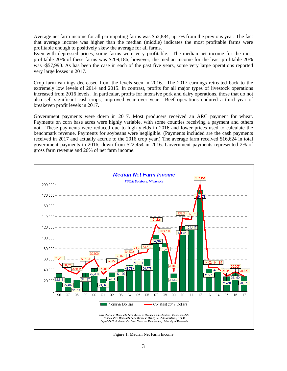Average net farm income for all participating farms was \$62,884, up 7% from the previous year. The fact that average income was higher than the median (middle) indicates the most profitable farms were profitable enough to positively skew the average for all farms.

Even with depressed prices, some farms were very profitable. The median net income for the most profitable 20% of these farms was \$209,186; however, the median income for the least profitable 20% was -\$57,990. As has been the case in each of the past five years, some very large operations reported very large losses in 2017.

Crop farm earnings decreased from the levels seen in 2016. The 2017 earnings retreated back to the extremely low levels of 2014 and 2015. In contrast, profits for all major types of livestock operations increased from 2016 levels. In particular, profits for intensive pork and dairy operations, those that do not also sell significant cash-crops, improved year over year. Beef operations endured a third year of breakeven profit levels in 2017.

Government payments were down in 2017. Most producers received an ARC payment for wheat. Payments on corn base acres were highly variable, with some counties receiving a payment and others not. These payments were reduced due to high yields in 2016 and lower prices used to calculate the benchmark revenue. Payments for soybeans were negligible. (Payments included are the cash payments received in 2017 and actually accrue to the 2016 crop year.) The average farm received \$16,624 in total government payments in 2016, down from \$22,454 in 2016. Government payments represented 2% of gross farm revenue and 26% of net farm income.



Figure 1: Median Net Farm Income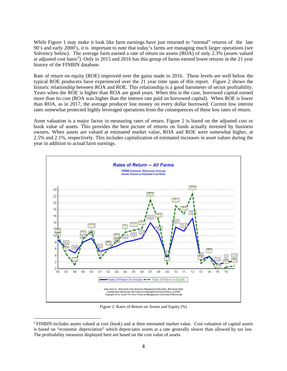While Figure 1 may make it look like farm earnings have just returned to "normal" returns of the late 90's and early 2000's, it is important to note that today's farms are managing much larger operations (see Solvency below). The average farm earned a rate of return on assets (ROA) of only 2.3% (assets valued at adjusted cost basis<sup>[2](#page-5-0)</sup>). Only in 2015 and 2016 has this group of farms earned lower returns in the 21 year history of the FINBIN database.

Rate of return on equity (ROE) improved over the gains made in 2016. These levels are well below the typical ROE producers have experienced over the 21 year time span of this report. Figure 2 shows the historic relationship between ROA and ROE. This relationship is a good barometer of sector profitability. Years when the ROE is higher than ROA are good years. When this is the case, borrowed capital earned more than its cost (ROA was higher than the interest rate paid on borrowed capital). When ROE is lower than ROA, as in 2017, the average producer lost money on every dollar borrowed. Current low interest rates somewhat protected highly leveraged operations from the consequences of these low rates of return.

Asset valuation is a major factor in measuring rates of return. Figure 2 is based on the adjusted cost or book value of assets. This provides the best picture of returns on funds actually invested by business owners. When assets are valued at estimated market value, ROA and ROE were somewhat higher, at 2.5% and 2.1%, respectively. This includes capitalization of estimated increases in asset values during the year in addition to actual farm earnings.



Figure 2: Rates of Return on Assets and Equity (%)

 $\overline{a}$ 

<span id="page-5-0"></span><sup>2</sup> FINBIN includes assets valued at cost (book) and at their estimated market value. Cost valuation of capital assets is based on "economic depreciation" which depreciates assets at a rate generally slower than allowed by tax law. The profitability measures displayed here are based on the cost value of assets.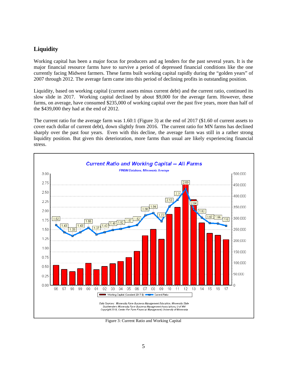#### **Liquidity**

Working capital has been a major focus for producers and ag lenders for the past several years. It is the major financial resource farms have to survive a period of depressed financial conditions like the one currently facing Midwest farmers. These farms built working capital rapidly during the "golden years" of 2007 through 2012. The average farm came into this period of declining profits in outstanding position.

Liquidity, based on working capital (current assets minus current debt) and the current ratio, continued its slow slide in 2017. Working capital declined by about \$9,000 for the average farm. However, these farms, on average, have consumed \$235,000 of working capital over the past five years, more than half of the \$439,000 they had at the end of 2012.

The current ratio for the average farm was 1.60:1 (Figure 3) at the end of 2017 (\$1.60 of current assets to cover each dollar of current debt), down slightly from 2016. The current ratio for MN farms has declined sharply over the past four years. Even with this decline, the average farm was still in a rather strong liquidity position. But given this deterioration, more farms than usual are likely experiencing financial stress.



Figure 3: Current Ratio and Working Capital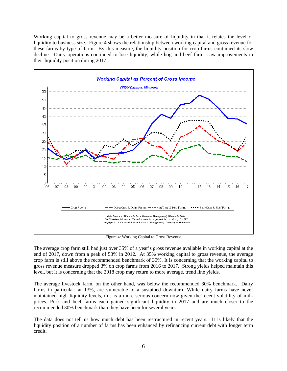Working capital to gross revenue may be a better measure of liquidity in that it relates the level of liquidity to business size. Figure 4 shows the relationship between working capital and gross revenue for these farms by type of farm. By this measure, the liquidity position for crop farms continued its slow decline. Dairy operations continued to lose liquidity, while hog and beef farms saw improvements in their liquidity position during 2017.



Figure 4: Working Capital to Gross Revenue

The average crop farm still had just over 35% of a year's gross revenue available in working capital at the end of 2017, down from a peak of 53% in 2012. At 35% working capital to gross revenue, the average crop farm is still above the recommended benchmark of 30%. It is concerning that the working capital to gross revenue measure dropped 3% on crop farms from 2016 to 2017. Strong yields helped maintain this level, but it is concerning that the 2018 crop may return to more average, trend line yields.

The average livestock farm, on the other hand, was below the recommended 30% benchmark. Dairy farms in particular, at 13%, are vulnerable to a sustained downturn. While dairy farms have never maintained high liquidity levels, this is a more serious concern now given the recent volatility of milk prices. Pork and beef farms each gained significant liquidity in 2017 and are much closer to the recommended 30% benchmark than they have been for several years.

The data does not tell us how much debt has been restructured in recent years. It is likely that the liquidity position of a number of farms has been enhanced by refinancing current debt with longer term credit.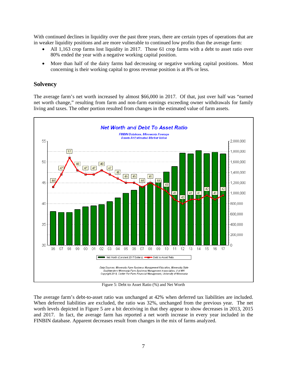With continued declines in liquidity over the past three years, there are certain types of operations that are in weaker liquidity positions and are more vulnerable to continued low profits than the average farm:

- All 1,163 crop farms lost liquidity in 2017. Those 61 crop farms with a debt to asset ratio over 80% ended the year with a negative working capital position.
- More than half of the dairy farms had decreasing or negative working capital positions. Most concerning is their working capital to gross revenue position is at 8% or less.

#### **Solvency**

The average farm's net worth increased by almost \$66,000 in 2017. Of that, just over half was "earned net worth change," resulting from farm and non-farm earnings exceeding owner withdrawals for family living and taxes. The other portion resulted from changes in the estimated value of farm assets.



Figure 5: Debt to Asset Ratio (%) and Net Worth

The average farm's debt-to-asset ratio was unchanged at 42% when deferred tax liabilities are included. When deferred liabilities are excluded, the ratio was 32%, unchanged from the previous year. The net worth levels depicted in Figure 5 are a bit deceiving in that they appear to show decreases in 2013, 2015 and 2017. In fact, the average farm has reported a net worth increase in every year included in the FINBIN database. Apparent decreases result from changes in the mix of farms analyzed.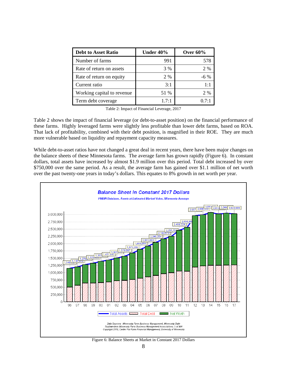| <b>Debt to Asset Ratio</b> | Under 40% | Over $60\%$ |
|----------------------------|-----------|-------------|
| Number of farms            | 991       | 578         |
| Rate of return on assets   | 3 %       | 2 %         |
| Rate of return on equity   | 2%        | $-6\%$      |
| Current ratio              | 3:1       | $1 \cdot 1$ |
| Working capital to revenue | 51 %      | 2 %         |
| Term debt coverage         | 1.7:1     | 0.7:1       |

Table 2: Impact of Financial Leverage, 2017

Table 2 shows the impact of financial leverage (or debt-to-asset position) on the financial performance of these farms. Highly leveraged farms were slightly less profitable than lower debt farms, based on ROA. That lack of profitability, combined with their debt position, is magnified in their ROE. They are much more vulnerable based on liquidity and repayment capacity measures.

While debt-to-asset ratios have not changed a great deal in recent years, there have been major changes on the balance sheets of these Minnesota farms. The average farm has grown rapidly (Figure 6). In constant dollars, total assets have increased by almost \$1.9 million over this period. Total debt increased by over \$750,000 over the same period. As a result, the average farm has gained over \$1.1 million of net worth over the past twenty-one years in today's dollars. This equates to 8% growth in net worth per year.



Figure 6: Balance Sheets at Market in Constant 2017 Dollars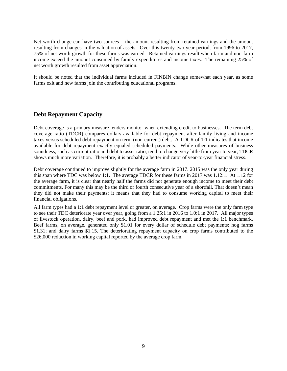Net worth change can have two sources – the amount resulting from retained earnings and the amount resulting from changes in the valuation of assets. Over this twenty-two year period, from 1996 to 2017, 75% of net worth growth for these farms was earned. Retained earnings result when farm and non-farm income exceed the amount consumed by family expenditures and income taxes. The remaining 25% of net worth growth resulted from asset appreciation.

It should be noted that the individual farms included in FINBIN change somewhat each year, as some farms exit and new farms join the contributing educational programs.

#### **Debt Repayment Capacity**

Debt coverage is a primary measure lenders monitor when extending credit to businesses. The term debt coverage ratio (TDCR) compares dollars available for debt repayment after family living and income taxes versus scheduled debt repayment on term (non-current) debt. A TDCR of 1:1 indicates that income available for debt repayment exactly equaled scheduled payments. While other measures of business soundness, such as current ratio and debt to asset ratio, tend to change very little from year to year, TDCR shows much more variation. Therefore, it is probably a better indicator of year-to-year financial stress.

Debt coverage continued to improve slightly for the average farm in 2017. 2015 was the only year during this span where TDC was below 1:1. The average TDCR for these farms in 2017 was 1.12:1. At 1.12 for the average farm, it is clear that nearly half the farms did not generate enough income to meet their debt commitments. For many this may be the third or fourth consecutive year of a shortfall. That doesn't mean they did not make their payments; it means that they had to consume working capital to meet their financial obligations.

All farm types had a 1:1 debt repayment level or greater, on average. Crop farms were the only farm type to see their TDC deteriorate year over year, going from a 1.25:1 in 2016 to 1.0:1 in 2017. All major types of livestock operation, dairy, beef and pork, had improved debt repayment and met the 1:1 benchmark. Beef farms, on average, generated only \$1.01 for every dollar of schedule debt payments; hog farms \$1.31; and dairy farms \$1.15. The deteriorating repayment capacity on crop farms contributed to the \$26,000 reduction in working capital reported by the average crop farm.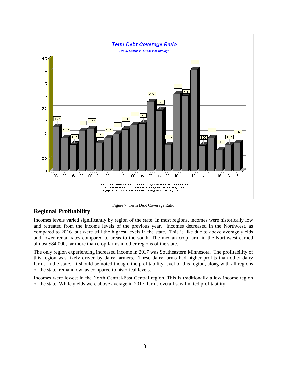

Figure 7: Term Debt Coverage Ratio

#### **Regional Profitability**

Incomes levels varied significantly by region of the state. In most regions, incomes were historically low and retreated from the income levels of the previous year. Incomes decreased in the Northwest, as compared to 2016, but were still the highest levels in the state. This is like due to above average yields and lower rental rates compared to areas to the south. The median crop farm in the Northwest earned almost \$84,000, far more than crop farms in other regions of the state.

The only region experiencing increased income in 2017 was Southeastern Minnesota. The profitability of this region was likely driven by dairy farmers. These dairy farms had higher profits than other dairy farms in the state. It should be noted though, the profitability level of this region, along with all regions of the state, remain low, as compared to historical levels.

Incomes were lowest in the North Central/East Central region. This is traditionally a low income region of the state. While yields were above average in 2017, farms overall saw limited profitability.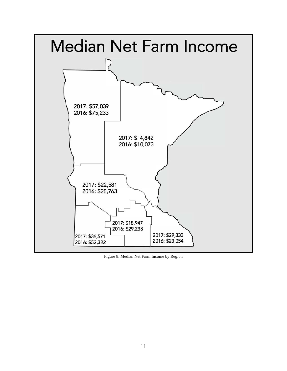

Figure 8: Median Net Farm Income by Region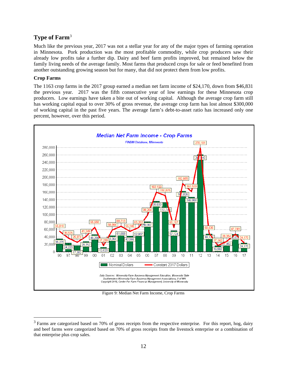#### **Type of Farm**[3](#page-13-0)

Much like the previous year, 2017 was not a stellar year for any of the major types of farming operation in Minnesota. Pork production was the most profitable commodity, while crop producers saw their already low profits take a further dip. Dairy and beef farm profits improved, but remained below the family living needs of the average family. Most farms that produced crops for sale or feed benefited from another outstanding growing season but for many, that did not protect them from low profits.

#### **Crop Farms**

 $\overline{a}$ 

The 1163 crop farms in the 2017 group earned a median net farm income of \$24,170, down from \$46,831 the previous year. 2017 was the fifth consecutive year of low earnings for these Minnesota crop producers. Low earnings have taken a bite out of working capital. Although the average crop farm still has working capital equal to over 30% of gross revenue, the average crop farm has lost almost \$300,000 of working capital in the past five years. The average farm's debt-to-asset ratio has increased only one percent, however, over this period.



Figure 9: Median Net Farm Income, Crop Farms

<span id="page-13-0"></span> $3$  Farms are categorized based on 70% of gross receipts from the respective enterprise. For this report, hog, dairy and beef farms were categorized based on 70% of gross receipts from the livestock enterprise or a combination of that enterprise plus crop sales.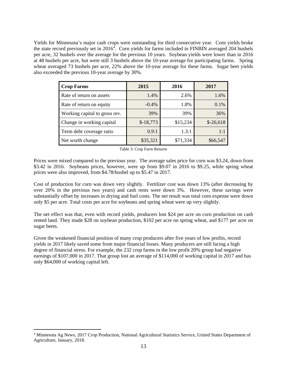Yields for Minnesota's major cash crops were outstanding for third consecutive year. Corn yields broke the state record previously set in 2016<sup>[4](#page-14-0)</sup>. Corn yields for farms included in FINBIN averaged 204 bushels per acre, 32 bushels over the average for the previous 10 years. Soybean yields were lower than in 2016 at 48 bushels per acre, but were still 3 bushels above the 10-year average for participating farms. Spring wheat averaged 73 bushels per acre, 22% above the 10-year average for these farms. Sugar beet yields also exceeded the previous 10-year average by 30%.

| <b>Crop Farms</b>             | 2015       | 2016     | 2017       |
|-------------------------------|------------|----------|------------|
| Rate of return on assets      | 1.4%       | 2.6%     | 1.6%       |
| Rate of return on equity      | $-0.4%$    | 1.8%     | 0.1%       |
| Working capital to gross rev. | 39%        | 39%      | 36%        |
| Change in working capital     | $$-18,773$ | \$15,234 | $$-26,618$ |
| Term debt coverage ratio      | 0.9:1      | 1.3:1    | 1:1        |
| Net worth change              | \$35,321   | \$71,334 | \$66,547   |

Prices were mixed compared to the previous year. The average sales price for corn was \$3.24, down from \$3.42 in 2016. Soybeans prices, however, were up from \$9.07 in 2016 to \$9.25, while spring wheat prices were also improved, from \$4.78/bushel up to \$5.47 in 2017.

Cost of production for corn was down very slightly. Fertilizer cost was down 13% (after decreasing by over 20% in the previous two years) and cash rents were down 3%. However, these savings were substantially offset by increases in drying and fuel costs. The net result was total corn expense were down only \$5 per acre. Total costs per acre for soybeans and spring wheat were up very slightly.

The net effect was that, even with record yields, producers lost \$24 per acre on corn production on cash rented land. They made \$28 on soybean production, \$102 per acre on spring wheat, and \$177 per acre on sugar beets.

Given the weakened financial position of many crop producers after five years of low profits, record yields in 2017 likely saved some from major financial losses. Many producers are still facing a high degree of financial stress. For example, the 232 crop farms in the low profit 20% group had negative earnings of \$107,000 in 2017. That group lost an average of \$114,000 of working capital in 2017 and has only \$64,000 of working capital left.

 $\overline{a}$ 

<span id="page-14-0"></span><sup>4</sup> Minnesota Ag News, 2017 Crop Production, National Agricultural Statistics Service, United States Department of Agriculture, January, 2018.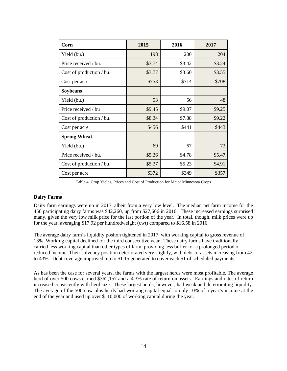| Corn                     | 2015   | 2016   | 2017   |
|--------------------------|--------|--------|--------|
| Yield (bu.)              | 198    | 200    | 204    |
| Price received / bu.     | \$3.74 | \$3.42 | \$3.24 |
| Cost of production / bu. | \$3.77 | \$3.60 | \$3.55 |
| Cost per acre            | \$753  | \$714  | \$708  |
| <b>Soybeans</b>          |        |        |        |
| Yield (bu.)              | 53     | 56     | 48     |
| Price received / bu      | \$9.45 | \$9.07 | \$9.25 |
| Cost of production / bu. | \$8.34 | \$7.88 | \$9.22 |
| Cost per acre            | \$456  | \$441  | \$443  |
| <b>Spring Wheat</b>      |        |        |        |
| Yield (bu.)              | 69     | 67     | 73     |
| Price received / bu.     | \$5.26 | \$4.78 | \$5.47 |
| Cost of production / bu. | \$5.37 | \$5.23 | \$4.91 |
| Cost per acre            | \$372  | \$349  | \$357  |

Table 4: Crop Yields, Prices and Cost of Production for Major Minnesota Crops

#### **Dairy Farms**

Dairy farm earnings were up in 2017, albeit from a very low level. The median net farm income for the 456 participating dairy farms was \$42,260, up from \$27,666 in 2016. These increased earnings surprised many, given the very low milk price for the last portion of the year. In total, though, milk prices were up for the year, averaging \$17.92 per hundredweight (cwt) compared to \$16.58 in 2016.

The average dairy farm's liquidity positon tightened in 2017, with working capital to gross revenue of 13%. Working capital declined for the third consecutive year. These dairy farms have traditionally carried less working capital than other types of farm, providing less buffer for a prolonged period of reduced income. Their solvency position deteriorated very slightly, with debt-to-assets increasing from 42 to 43%. Debt coverage improved, up to \$1.15 generated to cover each \$1 of scheduled payments.

As has been the case for several years, the farms with the largest herds were most profitable. The average herd of over 500 cows earned \$362,157 and a 4.3% rate of return on assets. Earnings and rates of return increased consistently with herd size. These largest herds, however, had weak and deteriorating liquidity. The average of the 500-cow-plus herds had working capital equal to only 10% of a year's income at the end of the year and used up over \$110,000 of working capital during the year.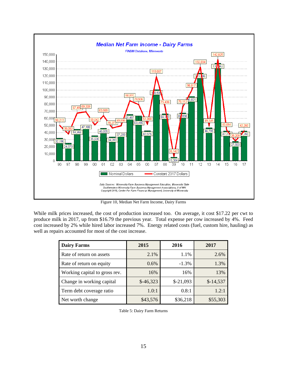

Figure 10, Median Net Farm Income, Dairy Farms

While milk prices increased, the cost of production increased too. On average, it cost \$17.22 per cwt to produce milk in 2017, up from \$16.79 the previous year. Total expense per cow increased by 4%. Feed cost increased by 2% while hired labor increased 7%. Energy related costs (fuel, custom hire, hauling) as well as repairs accounted for most of the cost increase.

| <b>Dairy Farms</b>            | 2015       | 2016       | 2017       |
|-------------------------------|------------|------------|------------|
| Rate of return on assets      | 2.1%       | 1.1%       | 2.6%       |
| Rate of return on equity      | $0.6\%$    | $-1.3\%$   | 1.3%       |
| Working capital to gross rev. | 16%        | 16%        | 13%        |
| Change in working capital     | $$-46,323$ | $$-21,093$ | $$-14,537$ |
| Term debt coverage ratio      | 1.0:1      | 0.8:1      | 1.2:1      |
| Net worth change              | \$43,576   | \$36,218   | \$55,303   |

Table 5: Dairy Farm Returns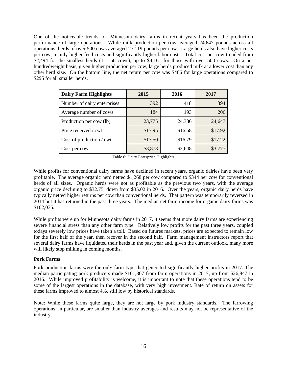One of the noticeable trends for Minnesota dairy farms in recent years has been the production performance of large operations. While milk production per cow averaged 24,647 pounds across all operations, herds of over 500 cows averaged 27,119 pounds per cow. Large herds also have higher costs per cow, mainly higher feed costs and significantly higher labor costs. Total cost per cow trended from \$2,494 for the smallest herds  $(1 - 50 \text{ cows})$ , up to \$4,161 for those with over 500 cows. On a per hundredweight basis, given higher production per cow, large herds produced milk at a lower cost than any other herd size. On the bottom line, the net return per cow was \$466 for large operations compared to \$295 for all smaller herds.

| <b>Dairy Farm Highlights</b> | 2015    | 2016    | 2017    |
|------------------------------|---------|---------|---------|
| Number of dairy enterprises  | 392     | 418     | 394     |
| Average number of cows       | 184     | 193     | 206     |
| Production per cow (lb)      | 23,775  | 24,336  | 24,647  |
| Price received / cwt         | \$17.95 | \$16.58 | \$17.92 |
| Cost of production / cwt     | \$17.50 | \$16.79 | \$17.22 |
| Cost per cow                 | \$3,873 | \$3,648 | \$3,777 |

Table 6: Dairy Enterprise Highlights

While profits for conventional dairy farms have declined in recent years, organic dairies have been very profitable. The average organic herd netted \$1,268 per cow compared to \$344 per cow for conventional herds of all sizes. Organic herds were not as profitable as the previous two years, with the average organic price declining to \$32.75, down from \$35.02 in 2016. Over the years, organic dairy herds have typically netted higher returns per cow than conventional herds. That pattern was temporarily reversed in 2014 but it has returned in the past three years. The median net farm income for organic dairy farms was \$102,035.

While profits were up for Minnesota dairy farms in 2017, it seems that more dairy farms are experiencing severe financial stress than any other farm type. Relatively low profits for the past three years, coupled todays severely low prices have taken a toll. Based on futures markets, prices are expected to remain low for the first half of the year, then recover in the second half. Farm management instructors report that several dairy farms have liquidated their herds in the past year and, given the current outlook, many more will likely stop milking in coming months.

#### **Pork Farms**

Pork production farms were the only farm type that generated significantly higher profits in 2017. The median participating pork producers made \$101,307 from farm operations in 2017, up from \$26,847 in 2016. While improved profitability is welcome, it is important to note that these operations tend to be some of the largest operations in the database, with very high investment. Rate of return on assets for these farms improved to almost 4%, still low by historical standards.

Note: While these farms quite large, they are not large by pork industry standards. The farrowing operations, in particular, are smaller than industry averages and results may not be representative of the industry.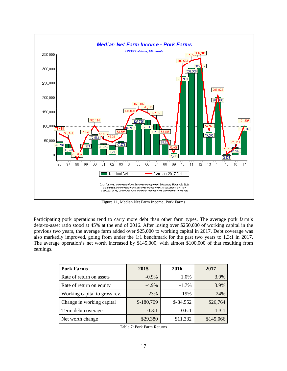

Figure 11, Median Net Farm Income, Pork Farms

Participating pork operations tend to carry more debt than other farm types. The average pork farm's debt-to-asset ratio stood at 45% at the end of 2016. After losing over \$250,000 of working capital in the previous two years, the average farm added over \$25,000 to working capital in 2017. Debt coverage was also markedly improved, going from under the 1:1 benchmark for the past two years to 1.3:1 in 2017. The average operation's net worth increased by \$145,000, with almost \$100,000 of that resulting from earnings.

| <b>Pork Farms</b>             | 2015        | 2016       | 2017      |
|-------------------------------|-------------|------------|-----------|
| Rate of return on assets      | $-0.9\%$    | 1.0%       | 3.9%      |
| Rate of return on equity      | $-4.9\%$    | $-1.7%$    | 3.9%      |
| Working capital to gross rev. | 23%         | 19%        | 24%       |
| Change in working capital     | $$-180,709$ | $$-84,552$ | \$26,764  |
| Term debt coverage            | 0.3:1       | 0.6:1      | 1.3:1     |
| Net worth change              | \$29,380    | \$11,332   | \$145,066 |

Table 7: Pork Farm Returns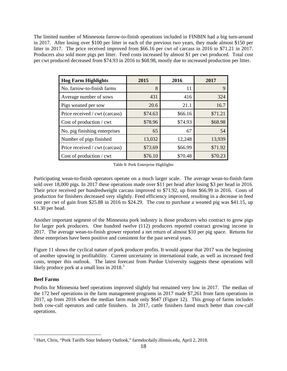The limited number of Minnesota farrow-to-finish operations included in FINBIN had a big turn-around in 2017. After losing over \$100 per litter in each of the previous two years, they made almost \$150 per litter in 2017. The price received improved from \$66.16 per cwt of carcass in 2016 to \$71.21 in 2017. Producers also sold more pigs per litter. Feed costs increased by almost \$1 per cwt produced. Total cost per cwt produced decreased from \$74.93 in 2016 to \$68.98, mostly due to increased production per litter.

| <b>Hog Farm Highlights</b>     | 2015    | 2016    | 2017    |
|--------------------------------|---------|---------|---------|
| No. farrow-to-finish farms     | 8       | 11      |         |
| Average number of sows         | 431     | 416     | 324     |
| Pigs weaned per sow            | 20.6    | 21.1    | 16.7    |
| Price received / cwt (carcass) | \$74.63 | \$66.16 | \$71.21 |
| Cost of production / cwt       | \$78.96 | \$74.93 | \$68.98 |
| No. pig finishing enterprises  | 65      | 67      | 54      |
| Number of pigs finished        | 13,032  | 12,248  | 13,939  |
| Price received / cwt (carcass) | \$73.69 | \$66.99 | \$71.92 |
| Cost of production / cwt       | \$76.10 | \$70.48 | \$70.23 |

Table 8: Pork Enterprise Highlights

Participating wean-to-finish operators operate on a much larger scale. The average wean-to-finish farm sold over 18,000 pigs. In 2017 these operations made over \$11 per head after losing \$3 per head in 2016. Their price received per hundredweight carcass improved to \$71.92, up from \$66.99 in 2016. Costs of production for finishers decreased very slightly. Feed efficiency improved, resulting in a decrease in feed cost per cwt of gain from \$25.88 in 2016 to \$24.29. The cost to purchase a weaned pig was \$41.15, up \$1.30 per head.

Another important segment of the Minnesota pork industry is those producers who contract to grow pigs for larger pork producers. One hundred twelve (112) producers reported contract growing income in 2017. The average wean-to-finish grower reported a net return of almost \$10 per pig space. Returns for these enterprises have been positive and consistent for the past several years.

Figure 11 shows the cyclical nature of pork producer profits. It would appear that 2017 was the beginning of another upswing in profitability. Current uncertainty in international trade, as well as increased feed costs, temper this outlook. The latest forecast from Purdue University suggests these operations will likely produce pork at a small loss in 2018.<sup>[5](#page-19-0)</sup>

#### **Beef Farms**

 $\overline{a}$ 

Profits for Minnesota beef operations improved slightly but remained very low in 2017. The median of the 172 beef operations in the farm management programs in 2017 made \$7,261 from farm operations in 2017, up from 2016 when the median farm made only \$647 (Figure 12). This group of farms includes both cow-calf operators and cattle finishers. In 2017, cattle finishers fared much better than cow-calf operations.

<span id="page-19-0"></span><sup>&</sup>lt;sup>5</sup> Hurt, Chris, "Pork Tariffs Sour Industry Outlook," farmdocdaily.illinois.edu, April 2, 2018.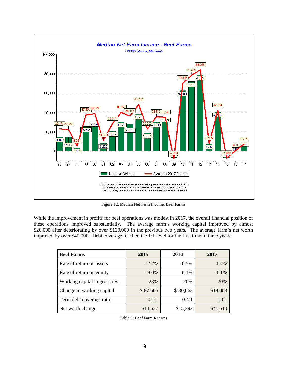

Figure 12: Median Net Farm Income, Beef Farms

While the improvement in profits for beef operations was modest in 2017, the overall financial position of these operations improved substantially. The average farm's working capital improved by almost \$20,000 after deteriorating by over \$120,000 in the previous two years. The average farm's net worth improved by over \$40,000. Debt coverage reached the 1:1 level for the first time in three years.

| <b>Beef Farms</b>             | 2015       | 2016       | 2017     |
|-------------------------------|------------|------------|----------|
| Rate of return on assets      | $-2.2\%$   | $-0.5%$    | 1.7%     |
| Rate of return on equity      | $-9.0\%$   | $-6.1%$    | $-1.1%$  |
| Working capital to gross rev. | 23%        | 20%        | 20%      |
| Change in working capital     | $$-87,605$ | $$-30,068$ | \$19,003 |
| Term debt coverage ratio      | 0.1:1      | 0.4:1      | 1.0:1    |
| Net worth change              | \$14,627   | \$15,393   | \$41,610 |

Table 9: Beef Farm Returns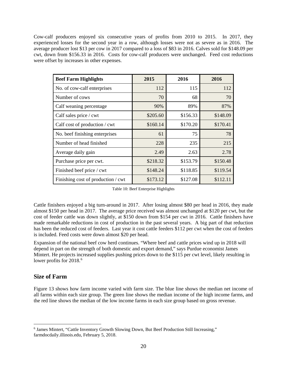Cow-calf producers enjoyed six consecutive years of profits from 2010 to 2015. In 2017, they experienced losses for the second year in a row, although losses were not as severe as in 2016. The average producer lost \$13 per cow in 2017 compared to a loss of \$83 in 2016. Calves sold for \$148.09 per cwt, down from \$156.33 in 2016. Costs for cow-calf producers were unchanged. Feed cost reductions were offset by increases in other expenses.

| <b>Beef Farm Highlights</b>        | 2015     | 2016     | 2016     |
|------------------------------------|----------|----------|----------|
| No. of cow-calf enterprises        | 112      | 115      | 112      |
| Number of cows                     | 70       | 68       | 70       |
| Calf weaning percentage            | 90%      | 89%      | 87%      |
| Calf sales price / cwt             | \$205.60 | \$156.33 | \$148.09 |
| Calf cost of production / cwt      | \$160.14 | \$170.20 | \$170.41 |
| No. beef finishing enterprises     | 61       | 75       | 78       |
| Number of head finished            | 228      | 235      | 215      |
| Average daily gain                 | 2.49     | 2.63     | 2.78     |
| Purchase price per cwt.            | \$218.32 | \$153.79 | \$150.48 |
| Finished beef price / cwt          | \$148.24 | \$118.85 | \$119.54 |
| Finishing cost of production / cwt | \$173.12 | \$127.08 | \$112.11 |

Table 10: Beef Enterprise Highlights

Cattle finishers enjoyed a big turn-around in 2017. After losing almost \$80 per head in 2016, they made almost \$150 per head in 2017. The average price received was almost unchanged at \$120 per cwt, but the cost of feeder cattle was down slightly, at \$150 down from \$154 per cwt in 2016. Cattle finishers have made remarkable reductions in cost of production in the past several years. A big part of that reduction has been the reduced cost of feeders. Last year it cost cattle feeders \$112 per cwt when the cost of feeders is included. Feed costs were down almost \$20 per head.

Expansion of the national beef cow herd continues. "Where beef and cattle prices wind up in 2018 will depend in part on the strength of both domestic and export demand," says Purdue economist James Mintert. He projects increased supplies pushing prices down to the \$115 per cwt level, likely resulting in lower profits for 2018.<sup>[6](#page-21-0)</sup>

#### **Size of Farm**

Figure 13 shows how farm income varied with farm size. The blue line shows the median net income of all farms within each size group. The green line shows the median income of the high income farms, and the red line shows the median of the low income farms in each size group based on gross revenue.

<span id="page-21-0"></span> $\overline{a}$ <sup>6</sup> James Mintert, "Cattle Inventory Growth Slowing Down, But Beef Production Still Increasing," farmdocdaily.illinois.edu, February 5, 2018.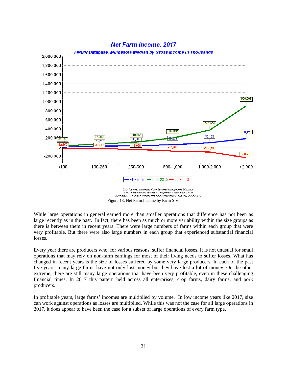

Figure 13: Net Farm Income by Farm Size

While large operations in general earned more than smaller operations that difference has not been as large recently as in the past. In fact, there has been as much or more variability within the size groups as there is between them in recent years. There were large numbers of farms within each group that were very profitable. But there were also large numbers in each group that experienced substantial financial losses.

Every year there are producers who, for various reasons, suffer financial losses. It is not unusual for small operations that may rely on non-farm earnings for most of their living needs to suffer losses. What has changed in recent years is the size of losses suffered by some very large producers. In each of the past five years, many large farms have not only lost money but they have lost a lot of money. On the other extreme, there are still many large operations that have been very profitable, even in these challenging financial times. In 2017 this pattern held across all enterprises, crop farms, dairy farms, and pork producers.

In profitable years, large farms' incomes are multiplied by volume. In low income years like 2017, size can work against operations as losses are multiplied. While this was not the case for all large operations in 2017, it does appear to have been the case for a subset of large operations of every farm type.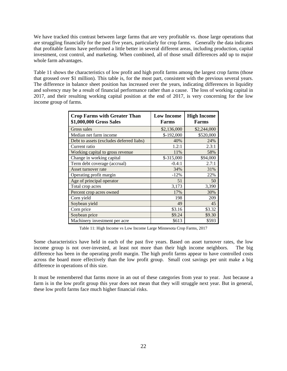We have tracked this contrast between large farms that are very profitable vs. those large operations that are struggling financially for the past five years, particularly for crop farms. Generally the data indicates that profitable farms have performed a little better in several different areas, including production, capital investment, cost control, and marketing. When combined, all of those small differences add up to major whole farm advantages.

Table 11 shows the characteristics of low profit and high profit farms among the largest crop farms (those that grossed over \$1 million). This table is, for the most part, consistent with the previous several years. The difference in balance sheet position has increased over the years, indicating differences in liquidity and solvency may be a result of financial performance rather than a cause. The loss of working capital in 2017, and their resulting working capital position at the end of 2017, is very concerning for the low income group of farms.

| <b>Crop Farms with Greater Than</b><br>\$1,000,000 Gross Sales | <b>Low Income</b><br><b>Farms</b> | <b>High Income</b><br><b>Farms</b> |
|----------------------------------------------------------------|-----------------------------------|------------------------------------|
| Gross sales                                                    | \$2,136,000                       | \$2,244,000                        |
| Median net farm income                                         | $$-192,000$                       | \$520,000                          |
| Debt to assets (excludes deferred liabs)                       | 40%                               | 24%                                |
| Current ratio                                                  | 1.2:1                             | 2.3:1                              |
| Working capital to gross revenue                               | 11%                               | 58%                                |
| Change in working capital                                      | $$-315,000$                       | \$94,000                           |
| Term debt coverage (accrual)                                   | $-0.4:1$                          | 2.7:1                              |
| Asset turnover rate                                            | 34%                               | 31%                                |
| Operating profit margin                                        | $-12%$                            | 22%                                |
| Age of principal operator                                      | 51                                | 50                                 |
| Total crop acres                                               | 3,173                             | 3,390                              |
| Percent crop acres owned                                       | 17%                               | 30%                                |
| Corn yield                                                     | 198                               | 209                                |
| Soybean yield                                                  | 49                                | 45                                 |
| Corn price                                                     | \$3.16                            | \$3.32                             |
| Soybean price                                                  | \$9.24                            | \$9.30                             |
| Machinery investment per acre                                  | \$613                             | \$593                              |

Table 11: High Income vs Low Income Large Minnesota Crop Farms, 2017

Some characteristics have held in each of the past five years. Based on asset turnover rates, the low income group is not over-invested, at least not more than their high income neighbors. The big difference has been in the operating profit margin. The high profit farms appear to have controlled costs across the board more effectively than the low profit group. Small cost savings per unit make a big difference in operations of this size.

It must be remembered that farms move in an out of these categories from year to year. Just because a farm is in the low profit group this year does not mean that they will struggle next year. But in general, these low profit farms face much higher financial risks.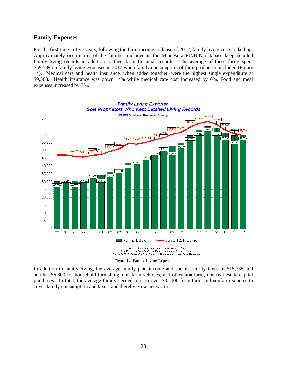#### **Family Expenses**

For the first time in five years, following the farm income collapse of 2012, family living costs ticked up. Approximately one-quarter of the families included in the Minnesota FINBIN database keep detailed family living records in addition to their farm financial records. The average of these farms spent \$59,589 on family living expenses in 2017 when family consumption of farm produce is included (Figure 14). Medical care and health insurance, when added together, were the highest single expenditure at \$9,588. Health insurance was down 14% while medical care cost increased by 6%. Food and meal expenses increased by 7%.



Figure 14: Family Living Expense

In addition to family living, the average family paid income and social security taxes of \$15,385 and another \$6,600 for household furnishing, non-farm vehicles, and other non-farm, non-real-estate capital purchases. In total, the average family needed to earn over \$81,000 from farm and nonfarm sources to cover family consumption and taxes, and thereby grow net worth.